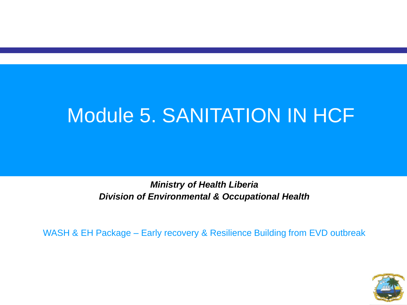#### Module 5. SANITATION IN HCF

*Ministry of Health Liberia Division of Environmental & Occupational Health* 

WASH & EH Package – Early recovery & Resilience Building from EVD outbreak

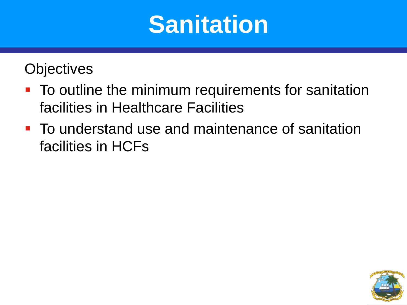#### **Sanitation**

#### **Objectives**

- **To outline the minimum requirements for sanitation** facilities in Healthcare Facilities
- **To understand use and maintenance of sanitation** facilities in HCFs

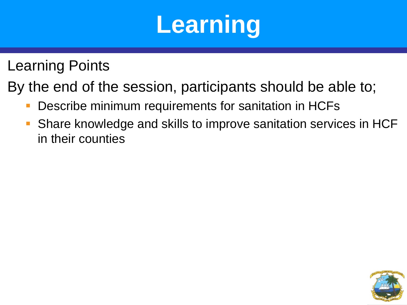# **Learning**

Learning Points

By the end of the session, participants should be able to;

- Describe minimum requirements for sanitation in HCFs
- Share knowledge and skills to improve sanitation services in HCF in their counties

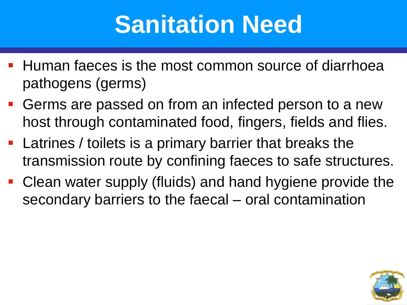### **Sanitation Need**

- **Human faeces is the most common source of diarrhoea** pathogens (germs)
- **Germs are passed on from an infected person to a new** host through contaminated food, fingers, fields and flies.
- **Latrines / toilets is a primary barrier that breaks the** transmission route by confining faeces to safe structures.
- Clean water supply (fluids) and hand hygiene provide the secondary barriers to the faecal – oral contamination

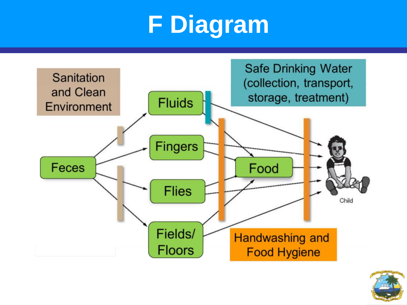# **F Diagram**



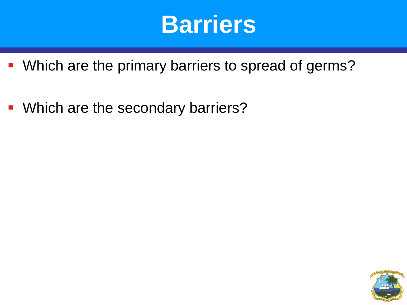#### **Barriers**

- **Which are the primary barriers to spread of germs?**
- **Which are the secondary barriers?**

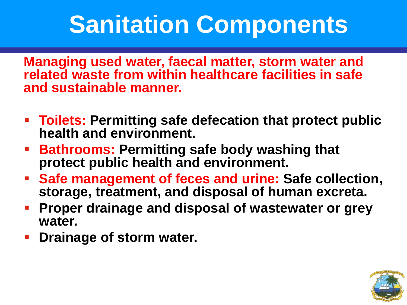### **Sanitation Components**

**Managing used water, faecal matter, storm water and related waste from within healthcare facilities in safe and sustainable manner.** 

- **Toilets: Permitting safe defecation that protect public health and environment.**
- **Bathrooms: Permitting safe body washing that protect public health and environment.**
- **Safe management of feces and urine: Safe collection, storage, treatment, and disposal of human excreta.**
- **Proper drainage and disposal of wastewater or grey water.**
- **Prainage of storm water.**

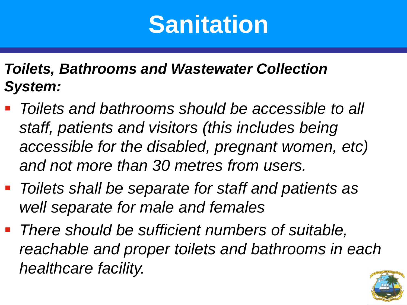#### **Sanitation**

#### *Toilets, Bathrooms and Wastewater Collection System:*

- *Toilets and bathrooms should be accessible to all staff, patients and visitors (this includes being accessible for the disabled, pregnant women, etc) and not more than 30 metres from users.*
- *Toilets shall be separate for staff and patients as well separate for male and females*
- *There should be sufficient numbers of suitable, reachable and proper toilets and bathrooms in each healthcare facility.*

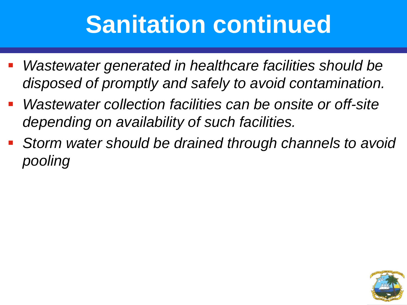### **Sanitation continued**

- *Wastewater generated in healthcare facilities should be disposed of promptly and safely to avoid contamination.*
- *Wastewater collection facilities can be onsite or off-site depending on availability of such facilities.*
- *Storm water should be drained through channels to avoid pooling*

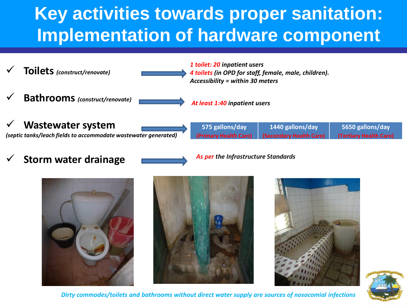#### **Key activities towards proper sanitation: Implementation of hardware component**



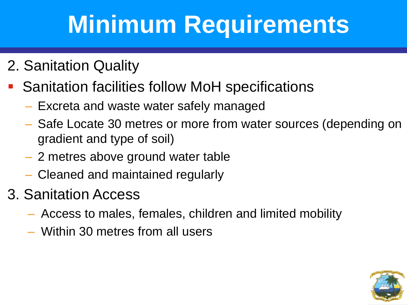## **Minimum Requirements**

- 2. Sanitation Quality
	- Sanitation facilities follow MoH specifications
		- Excreta and waste water safely managed
		- Safe Locate 30 metres or more from water sources (depending on gradient and type of soil)
		- 2 metres above ground water table
		- Cleaned and maintained regularly
- 3. Sanitation Access
	- Access to males, females, children and limited mobility
	- Within 30 metres from all users

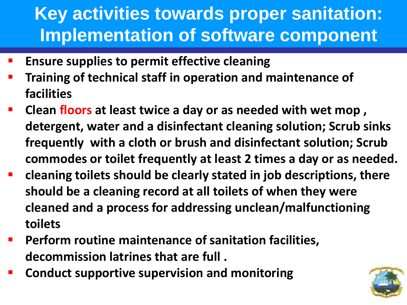#### **Key activities towards proper sanitation: Implementation of software component**

- **Ensure supplies to permit effective cleaning**
- **Training of technical staff in operation and maintenance of facilities**
- **Clean floors at least twice a day or as needed with wet mop , detergent, water and a disinfectant cleaning solution; Scrub sinks frequently with a cloth or brush and disinfectant solution; Scrub commodes or toilet frequently at least 2 times a day or as needed.**
- **cleaning toilets should be clearly stated in job descriptions, there should be a cleaning record at all toilets of when they were cleaned and a process for addressing unclean/malfunctioning toilets**
- **Perform routine maintenance of sanitation facilities, decommission latrines that are full .**
- **Conduct supportive supervision and monitoring**

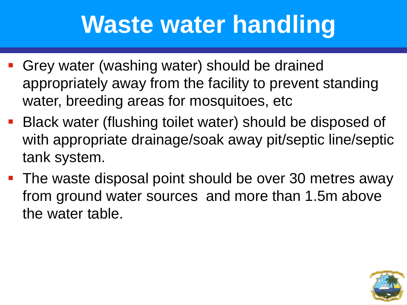### **Waste water handling**

- Grey water (washing water) should be drained appropriately away from the facility to prevent standing water, breeding areas for mosquitoes, etc
- Black water (flushing toilet water) should be disposed of with appropriate drainage/soak away pit/septic line/septic tank system.
- **The waste disposal point should be over 30 metres away** from ground water sources and more than 1.5m above the water table.

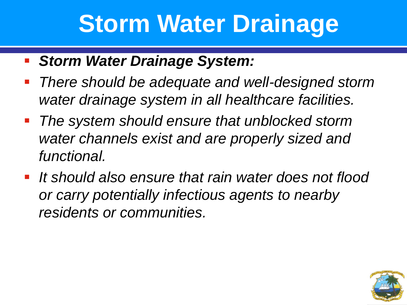#### **Storm Water Drainage**

- *Storm Water Drainage System:*
- *There should be adequate and well-designed storm water drainage system in all healthcare facilities.*
- *The system should ensure that unblocked storm water channels exist and are properly sized and functional.*
- *It should also ensure that rain water does not flood or carry potentially infectious agents to nearby residents or communities.*

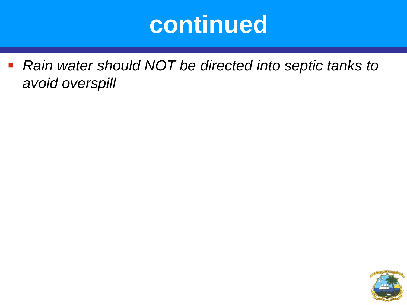#### **continued**

 *Rain water should NOT be directed into septic tanks to avoid overspill*

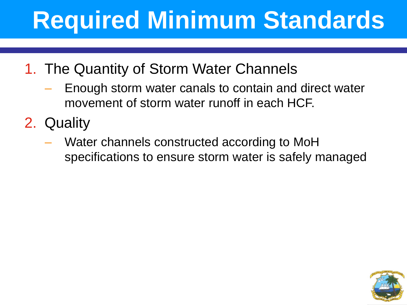## **Required Minimum Standards**

- 1. The Quantity of Storm Water Channels
	- Enough storm water canals to contain and direct water movement of storm water runoff in each HCF.
- 2. Quality
	- Water channels constructed according to MoH specifications to ensure storm water is safely managed

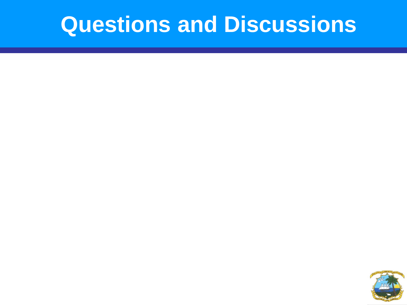#### **Questions and Discussions**